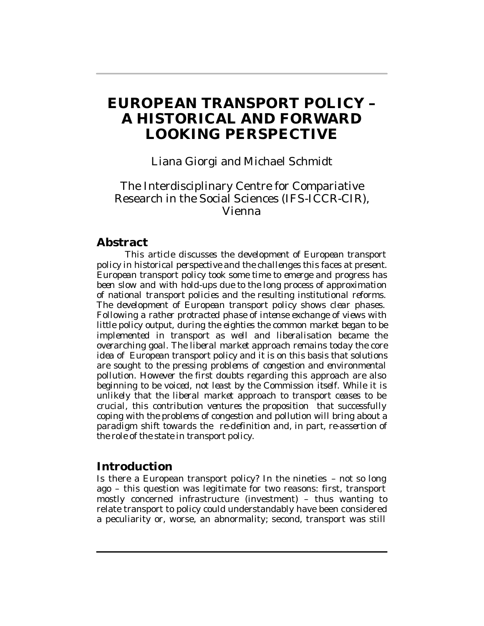# **EUROPEAN TRANSPORT POLICY – A HISTORICAL AND FORWARD LOOKING PERSPECTIVE**

# Liana Giorgi and Michael Schmidt

# The Interdisciplinary Centre for Compariative Research in the Social Sciences (IFS-ICCR-CIR), Vienna

### **Abstract**

*This article discusses the development of European transport policy in historical perspective and the challenges this faces at present. European transport policy took some time to emerge and progress has been slow and with hold-ups due to the long process of approximation of national transport policies and the resulting institutional reforms. The development of European transport policy shows clear phases. Following a rather protracted phase of intense exchange of views with little policy output, during the eighties the common market began to be implemented in transport as well and liberalisation became the overarching goal. The liberal market approach remains today the core idea of European transport policy and it is on this basis that solutions are sought to the pressing problems of congestion and environmental pollution. However the first doubts regarding this approach are also beginning to be voiced, not least by the Commission itself. While it is unlikely that the liberal market approach to transport ceases to be crucial, this contribution ventures the proposition that successfully coping with the problems of congestion and pollution will bring about a paradigm shift towards the re-definition and, in part, re-assertion of the role of the state in transport policy.*

## **Introduction**

Is there a European transport policy? In the nineties – not so long ago – this question was legitimate for two reasons: first, transport mostly concerned infrastructure (investment) – thus wanting to relate transport to policy could understandably have been considered a peculiarity or, worse, an abnormality; second, transport was still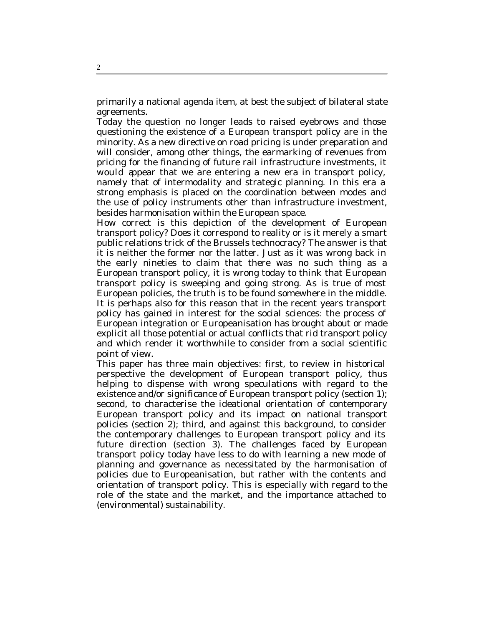primarily a national agenda item, at best the subject of bilateral state agreements.

Today the question no longer leads to raised eyebrows and those questioning the existence of a European transport policy are in the minority. As a new directive on road pricing is under preparation and will consider, among other things, the earmarking of revenues from pricing for the financing of future rail infrastructure investments, it would appear that we are entering a new era in transport policy, namely that of intermodality and strategic planning. In this era a strong emphasis is placed on the coordination between modes and the use of policy instruments other than infrastructure investment, besides harmonisation within the European space.

How correct is this depiction of the development of European transport policy? Does it correspond to reality or is it merely a smart public relations trick of the Brussels technocracy? The answer is that it is neither the former nor the latter. Just as it was wrong back in the early nineties to claim that there was no such thing as a European transport policy, it is wrong today to think that European transport policy is sweeping and going strong. As is true of most European policies, the truth is to be found somewhere in the middle. It is perhaps also for this reason that in the recent years transport policy has gained in interest for the social sciences: the process of European integration or Europeanisation has brought about or made explicit all those potential or actual conflicts that rid transport policy and which render it worthwhile to consider from a social scientific point of view.

This paper has three main objectives: first, to review in historical perspective the development of European transport policy, thus helping to dispense with wrong speculations with regard to the existence and/or significance of European transport policy (section 1); second, to characterise the ideational orientation of contemporary European transport policy and its impact on national transport policies (section 2); third, and against this background, to consider the contemporary challenges to European transport policy and its future direction (section 3). The challenges faced by European transport policy today have less to do with learning a new mode of planning and governance as necessitated by the harmonisation of policies due to Europeanisation, but rather with the contents and orientation of transport policy. This is especially with regard to the role of the state and the market, and the importance attached to (environmental) sustainability.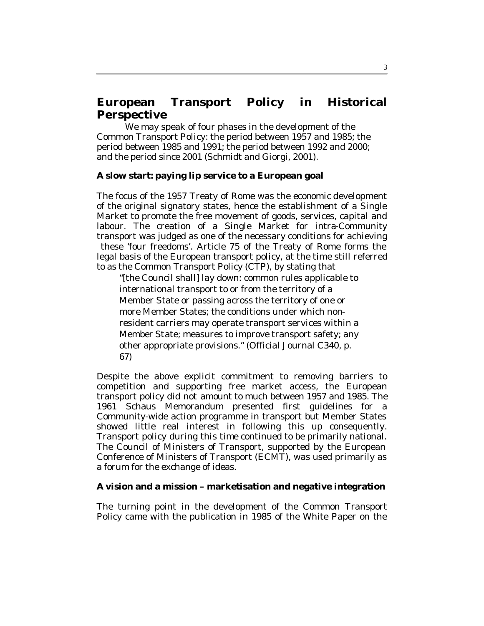# **European Transport Policy in Historical Perspective**

We may speak of four phases in the development of the Common Transport Policy: the period between 1957 and 1985; the period between 1985 and 1991; the period between 1992 and 2000; and the period since 2001 (Schmidt and Giorgi, 2001).

#### **A slow start: paying lip service to a European goal**

The focus of the 1957 Treaty of Rome was the economic development of the original signatory states, hence the establishment of a Single Market to promote the free movement of goods, services, capital and labour. The creation of a Single Market for intra-Community transport was judged as one of the necessary conditions for achieving these 'four freedoms'. Article 75 of the Treaty of Rome forms the legal basis of the European transport policy, at the time still referred to as the Common Transport Policy (CTP), by stating that

"[the Council shall] lay down: common rules applicable to international transport to or from the territory of a Member State or passing across the territory of one or more Member States; the conditions under which nonresident carriers may operate transport services within a Member State; measures to improve transport safety; any other appropriate provisions." (Official Journal C340, p. 67)

Despite the above explicit commitment to removing barriers to competition and supporting free market access, the European transport policy did not amount to much between 1957 and 1985. The 1961 Schaus Memorandum presented first guidelines for a Community-wide action programme in transport but Member States showed little real interest in following this up consequently. Transport policy during this time continued to be primarily national. The Council of Ministers of Transport, supported by the European Conference of Ministers of Transport (ECMT), was used primarily as a forum for the exchange of ideas.

#### **A vision and a mission – marketisation and negative integration**

The turning point in the development of the Common Transport Policy came with the publication in 1985 of the White Paper on the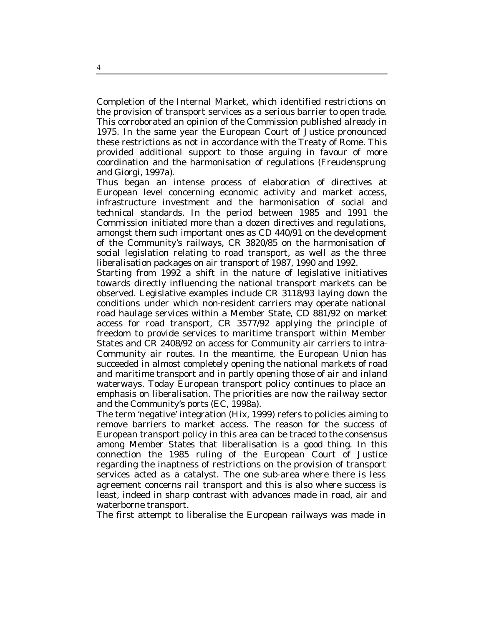Completion of the Internal Market, which identified restrictions on the provision of transport services as a serious barrier to open trade. This corroborated an opinion of the Commission published already in 1975. In the same year the European Court of Justice pronounced these restrictions as not in accordance with the Treaty of Rome. This provided additional support to those arguing in favour of more coordination and the harmonisation of regulations (Freudensprung and Giorgi, 1997a).

Thus began an intense process of elaboration of directives at European level concerning economic activity and market access, infrastructure investment and the harmonisation of social and technical standards. In the period between 1985 and 1991 the Commission initiated more than a dozen directives and regulations, amongst them such important ones as CD 440/91 on the development of the Community's railways, CR 3820/85 on the harmonisation of social legislation relating to road transport, as well as the three liberalisation packages on air transport of 1987, 1990 and 1992.

Starting from 1992 a shift in the nature of legislative initiatives towards directly influencing the national transport markets can be observed. Legislative examples include CR 3118/93 laying down the conditions under which non-resident carriers may operate national road haulage services within a Member State, CD 881/92 on market access for road transport, CR 3577/92 applying the principle of freedom to provide services to maritime transport within Member States and CR 2408/92 on access for Community air carriers to intra-Community air routes. In the meantime, the European Union has succeeded in almost completely opening the national markets of road and maritime transport and in partly opening those of air and inland waterways. Today European transport policy continues to place an emphasis on liberalisation. The priorities are now the railway sector and the Community's ports (EC, 1998a).

The term 'negative' integration (Hix, 1999) refers to policies aiming to remove barriers to market access. The reason for the success of European transport policy in this area can be traced to the consensus among Member States that liberalisation is a good thing. In this connection the 1985 ruling of the European Court of Justice regarding the inaptness of restrictions on the provision of transport services acted as a catalyst. The one sub-area where there is less agreement concerns rail transport and this is also where success is least, indeed in sharp contrast with advances made in road, air and waterborne transport.

The first attempt to liberalise the European railways was made in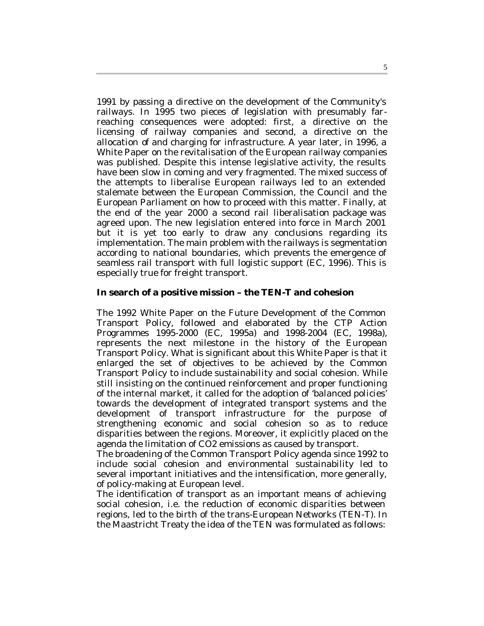1991 by passing a directive on the development of the Community's railways. In 1995 two pieces of legislation with presumably farreaching consequences were adopted: first, a directive on the licensing of railway companies and second, a directive on the allocation of and charging for infrastructure. A year later, in 1996, a White Paper on the revitalisation of the European railway companies was published. Despite this intense legislative activity, the results have been slow in coming and very fragmented. The mixed success of the attempts to liberalise European railways led to an extended stalemate between the European Commission, the Council and the European Parliament on how to proceed with this matter. Finally, at the end of the year 2000 a second rail liberalisation package was agreed upon. The new legislation entered into force in March 2001 but it is yet too early to draw any conclusions regarding its implementation. The main problem with the railways is segmentation according to national boundaries, which prevents the emergence of seamless rail transport with full logistic support (EC, 1996). This is especially true for freight transport.

#### **In search of a positive mission – the TEN-T and cohesion**

The 1992 White Paper on the Future Development of the Common Transport Policy, followed and elaborated by the CTP Action Programmes 1995-2000 (EC, 1995a) and 1998-2004 (EC, 1998a), represents the next milestone in the history of the European Transport Policy. What is significant about this White Paper is that it enlarged the set of objectives to be achieved by the Common Transport Policy to include sustainability and social cohesion. While still insisting on the continued reinforcement and proper functioning of the internal market, it called for the adoption of 'balanced policies' towards the development of integrated transport systems and the development of transport infrastructure for the purpose of strengthening economic and social cohesion so as to reduce disparities between the regions. Moreover, it explicitly placed on the agenda the limitation of CO2 emissions as caused by transport.

The broadening of the Common Transport Policy agenda since 1992 to include social cohesion and environmental sustainability led to several important initiatives and the intensification, more generally, of policy-making at European level.

The identification of transport as an important means of achieving social cohesion, i.e. the reduction of economic disparities between regions, led to the birth of the trans-European Networks (TEN-T). In the Maastricht Treaty the idea of the TEN was formulated as follows: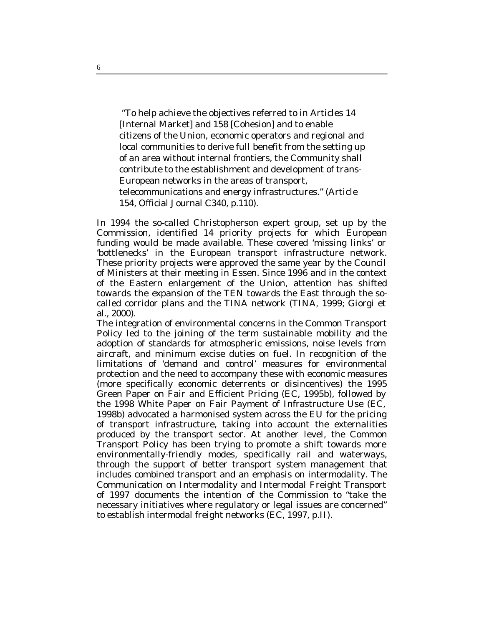"To help achieve the objectives referred to in Articles 14 [Internal Market] and 158 [Cohesion] and to enable citizens of the Union, economic operators and regional and local communities to derive full benefit from the setting up of an area without internal frontiers, the Community shall contribute to the establishment and development of trans-European networks in the areas of transport, telecommunications and energy infrastructures." (Article 154, Official Journal C340, p.110).

In 1994 the so-called Christopherson expert group, set up by the Commission, identified 14 priority projects for which European funding would be made available. These covered 'missing links' or 'bottlenecks' in the European transport infrastructure network. These priority projects were approved the same year by the Council of Ministers at their meeting in Essen. Since 1996 and in the context of the Eastern enlargement of the Union, attention has shifted towards the expansion of the TEN towards the East through the socalled corridor plans and the TINA network (TINA, 1999; Giorgi et al., 2000).

The integration of environmental concerns in the Common Transport Policy led to the joining of the term sustainable mobility and the adoption of standards for atmospheric emissions, noise levels from aircraft, and minimum excise duties on fuel. In recognition of the limitations of 'demand and control' measures for environmental protection and the need to accompany these with economic measures (more specifically economic deterrents or disincentives) the 1995 Green Paper on Fair and Efficient Pricing (EC, 1995b), followed by the 1998 White Paper on Fair Payment of Infrastructure Use (EC, 1998b) advocated a harmonised system across the EU for the pricing of transport infrastructure, taking into account the externalities produced by the transport sector. At another level, the Common Transport Policy has been trying to promote a shift towards more environmentally-friendly modes, specifically rail and waterways, through the support of better transport system management that includes combined transport and an emphasis on intermodality. The Communication on Intermodality and Intermodal Freight Transport of 1997 documents the intention of the Commission to "take the necessary initiatives where regulatory or legal issues are concerned" to establish intermodal freight networks (EC, 1997, p.II).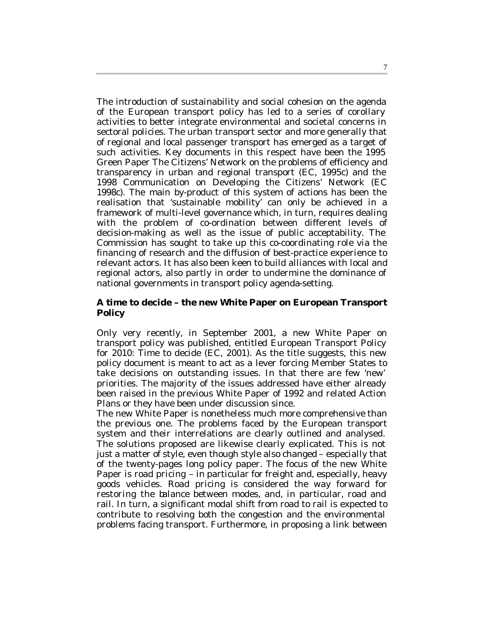The introduction of sustainability and social cohesion on the agenda of the European transport policy has led to a series of corollary activities to better integrate environmental and societal concerns in sectoral policies. The urban transport sector and more generally that of regional and local passenger transport has emerged as a target of such activities. Key documents in this respect have been the 1995 Green Paper The Citizens' Network on the problems of efficiency and transparency in urban and regional transport (EC, 1995c) and the 1998 Communication on Developing the Citizens' Network (EC 1998c). The main by-product of this system of actions has been the realisation that 'sustainable mobility' can only be achieved in a framework of multi-level governance which, in turn, requires dealing with the problem of co-ordination between different levels of decision-making as well as the issue of public acceptability. The Commission has sought to take up this co-coordinating role via the financing of research and the diffusion of best-practice experience to relevant actors. It has also been keen to build alliances with local and regional actors, also partly in order to undermine the dominance of national governments in transport policy agenda-setting.

#### **A time to decide – the new White Paper on European Transport Policy**

Only very recently, in September 2001, a new White Paper on transport policy was published, entitled European Transport Policy for 2010: Time to decide (EC, 2001). As the title suggests, this new policy document is meant to act as a lever forcing Member States to take decisions on outstanding issues. In that there are few 'new' priorities. The majority of the issues addressed have either already been raised in the previous White Paper of 1992 and related Action Plans or they have been under discussion since.

The new White Paper is nonetheless much more comprehensive than the previous one. The problems faced by the European transport system and their interrelations are clearly outlined and analysed. The solutions proposed are likewise clearly explicated. This is not just a matter of style, even though style also changed – especially that of the twenty-pages long policy paper. The focus of the new White Paper is road pricing – in particular for freight and, especially, heavy goods vehicles. Road pricing is considered the way forward for restoring the balance between modes, and, in particular, road and rail. In turn, a significant modal shift from road to rail is expected to contribute to resolving both the congestion and the environmental problems facing transport. Furthermore, in proposing a link between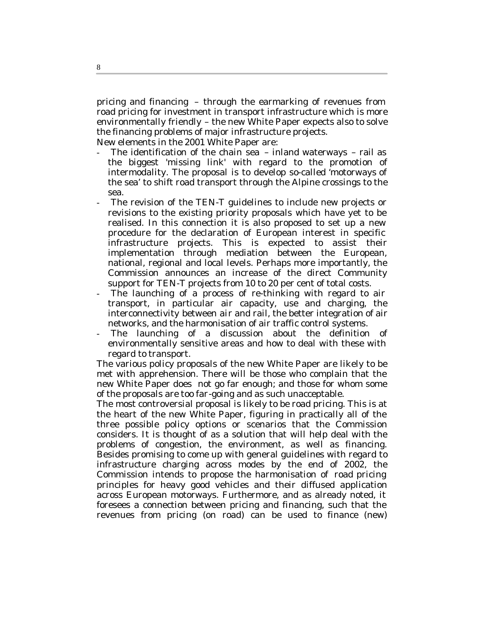pricing and financing – through the earmarking of revenues from road pricing for investment in transport infrastructure which is more environmentally friendly – the new White Paper expects also to solve the financing problems of major infrastructure projects.

New elements in the 2001 White Paper are:

- The identification of the chain sea  $-$  inland waterways  $-$  rail as the biggest 'missing link' with regard to the promotion of intermodality. The proposal is to develop so-called 'motorways of the sea' to shift road transport through the Alpine crossings to the sea.
- The revision of the TEN-T guidelines to include new projects or revisions to the existing priority proposals which have yet to be realised. In this connection it is also proposed to set up a new procedure for the declaration of European interest in specific infrastructure projects. This is expected to assist their implementation through mediation between the European, national, regional and local levels. Perhaps more importantly, the Commission announces an increase of the direct Community support for TEN-T projects from 10 to 20 per cent of total costs.
- The launching of a process of re-thinking with regard to air transport, in particular air capacity, use and charging, the interconnectivity between air and rail, the better integration of air networks, and the harmonisation of air traffic control systems.
- The launching of a discussion about the definition of environmentally sensitive areas and how to deal with these with regard to transport.

The various policy proposals of the new White Paper are likely to be met with apprehension. There will be those who complain that the new White Paper does not go far enough; and those for whom some of the proposals are too far-going and as such unacceptable.

The most controversial proposal is likely to be road pricing. This is at the heart of the new White Paper, figuring in practically all of the three possible policy options or scenarios that the Commission considers. It is thought of as a solution that will help deal with the problems of congestion, the environment, as well as financing. Besides promising to come up with general guidelines with regard to infrastructure charging across modes by the end of 2002, the Commission intends to propose the harmonisation of road pricing principles for heavy good vehicles and their diffused application across European motorways. Furthermore, and as already noted, it foresees a connection between pricing and financing, such that the revenues from pricing (on road) can be used to finance (new)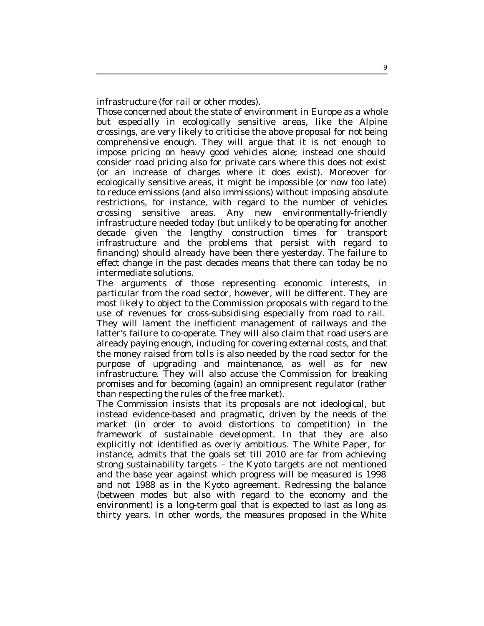infrastructure (for rail or other modes).

Those concerned about the state of environment in Europe as a whole but especially in ecologically sensitive areas, like the Alpine crossings, are very likely to criticise the above proposal for not being comprehensive enough. They will argue that it is not enough to impose pricing on heavy good vehicles alone; instead one should consider road pricing also for private cars where this does not exist (or an increase of charges where it does exist). Moreover for ecologically sensitive areas, it might be impossible (or now too late) to reduce emissions (and also immissions) without imposing absolute restrictions, for instance, with regard to the number of vehicles crossing sensitive areas. Any new environmentally-friendly infrastructure needed today (but unlikely to be operating for another decade given the lengthy construction times for transport infrastructure and the problems that persist with regard to financing) should already have been there yesterday. The failure to effect change in the past decades means that there can today be no intermediate solutions.

The arguments of those representing economic interests, in particular from the road sector, however, will be different. They are most likely to object to the Commission proposals with regard to the use of revenues for cross-subsidising especially from road to rail. They will lament the inefficient management of railways and the latter's failure to co-operate. They will also claim that road users are already paying enough, including for covering external costs, and that the money raised from tolls is also needed by the road sector for the purpose of upgrading and maintenance, as well as for new infrastructure. They will also accuse the Commission for breaking promises and for becoming (again) an omnipresent regulator (rather than respecting the rules of the free market).

The Commission insists that its proposals are not ideological, but instead evidence-based and pragmatic, driven by the needs of the market (in order to avoid distortions to competition) in the framework of sustainable development. In that they are also explicitly not identified as overly ambitious. The White Paper, for instance, admits that the goals set till 2010 are far from achieving strong sustainability targets – the Kyoto targets are not mentioned and the base year against which progress will be measured is 1998 and not 1988 as in the Kyoto agreement. Redressing the balance (between modes but also with regard to the economy and the environment) is a long-term goal that is expected to last as long as thirty years. In other words, the measures proposed in the White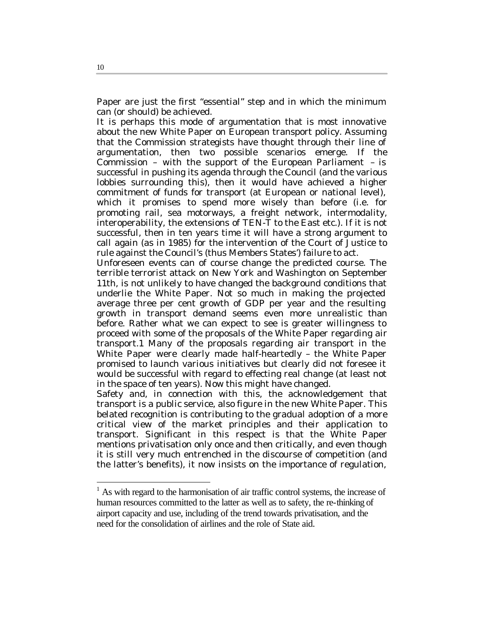Paper are just the first "essential" step and in which the minimum can (or should) be achieved.

It is perhaps this mode of argumentation that is most innovative about the new White Paper on European transport policy. Assuming that the Commission strategists have thought through their line of argumentation, then two possible scenarios emerge. If the Commission – with the support of the European Parliament – is successful in pushing its agenda through the Council (and the various lobbies surrounding this), then it would have achieved a higher commitment of funds for transport (at European or national level), which it promises to spend more wisely than before (i.e. for promoting rail, sea motorways, a freight network, intermodality, interoperability, the extensions of TEN-T to the East etc.). If it is not successful, then in ten years time it will have a strong argument to call again (as in 1985) for the intervention of the Court of Justice to rule against the Council's (thus Members States') failure to act.

Unforeseen events can of course change the predicted course. The terrible terrorist attack on New York and Washington on September 11th, is not unlikely to have changed the background conditions that underlie the White Paper. Not so much in making the projected average three per cent growth of GDP per year and the resulting growth in transport demand seems even more unrealistic than before. Rather what we can expect to see is greater willingness to proceed with some of the proposals of the White Paper regarding air transport.1 Many of the proposals regarding air transport in the White Paper were clearly made half-heartedly – the White Paper promised to launch various initiatives but clearly did not foresee it would be successful with regard to effecting real change (at least not in the space of ten years). Now this might have changed.

Safety and, in connection with this, the acknowledgement that transport is a public service, also figure in the new White Paper. This belated recognition is contributing to the gradual adoption of a more critical view of the market principles and their application to transport. Significant in this respect is that the White Paper mentions privatisation only once and then critically, and even though it is still very much entrenched in the discourse of competition (and the latter's benefits), it now insists on the importance of regulation,

i

<sup>&</sup>lt;sup>1</sup> As with regard to the harmonisation of air traffic control systems, the increase of human resources committed to the latter as well as to safety, the re-thinking of airport capacity and use, including of the trend towards privatisation, and the need for the consolidation of airlines and the role of State aid.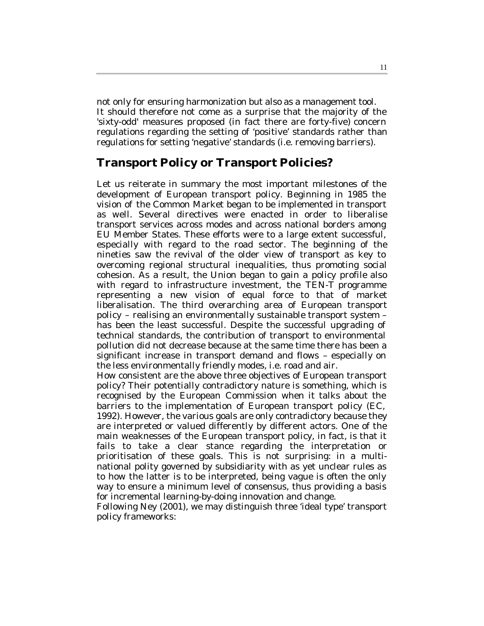not only for ensuring harmonization but also as a management tool. It should therefore not come as a surprise that the majority of the 'sixty-odd' measures proposed (in fact there are forty-five) concern regulations regarding the setting of 'positive' standards rather than regulations for setting 'negative' standards (i.e. removing barriers).

# **Transport Policy or Transport Policies?**

Let us reiterate in summary the most important milestones of the development of European transport policy. Beginning in 1985 the vision of the Common Market began to be implemented in transport as well. Several directives were enacted in order to liberalise transport services across modes and across national borders among EU Member States. These efforts were to a large extent successful, especially with regard to the road sector. The beginning of the nineties saw the revival of the older view of transport as key to overcoming regional structural inequalities, thus promoting social cohesion. As a result, the Union began to gain a policy profile also with regard to infrastructure investment, the TEN-T programme representing a new vision of equal force to that of market liberalisation. The third overarching area of European transport policy – realising an environmentally sustainable transport system – has been the least successful. Despite the successful upgrading of technical standards, the contribution of transport to environmental pollution did not decrease because at the same time there has been a significant increase in transport demand and flows – especially on the less environmentally friendly modes, i.e. road and air.

How consistent are the above three objectives of European transport policy? Their potentially contradictory nature is something, which is recognised by the European Commission when it talks about the barriers to the implementation of European transport policy (EC, 1992). However, the various goals are only contradictory because they are interpreted or valued differently by different actors. One of the main weaknesses of the European transport policy, in fact, is that it fails to take a clear stance regarding the interpretation or prioritisation of these goals. This is not surprising: in a multinational polity governed by subsidiarity with as yet unclear rules as to how the latter is to be interpreted, being vague is often the only way to ensure a minimum level of consensus, thus providing a basis for incremental learning-by-doing innovation and change.

Following Ney (2001), we may distinguish three 'ideal type' transport policy frameworks: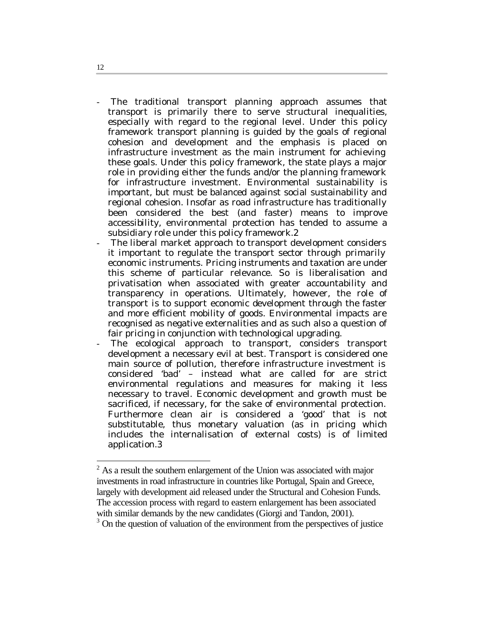The traditional transport planning approach assumes that transport is primarily there to serve structural inequalities, especially with regard to the regional level. Under this policy framework transport planning is guided by the goals of regional cohesion and development and the emphasis is placed on infrastructure investment as the main instrument for achieving these goals. Under this policy framework, the state plays a major role in providing either the funds and/or the planning framework for infrastructure investment. Environmental sustainability is important, but must be balanced against social sustainability and regional cohesion. Insofar as road infrastructure has traditionally been considered the best (and faster) means to improve accessibility, environmental protection has tended to assume a subsidiary role under this policy framework.2

- The liberal market approach to transport development considers it important to regulate the transport sector through primarily economic instruments. Pricing instruments and taxation are under this scheme of particular relevance. So is liberalisation and privatisation when associated with greater accountability and transparency in operations. Ultimately, however, the role of transport is to support economic development through the faster and more efficient mobility of goods. Environmental impacts are recognised as negative externalities and as such also a question of fair pricing in conjunction with technological upgrading.
- The ecological approach to transport, considers transport development a necessary evil at best. Transport is considered one main source of pollution, therefore infrastructure investment is considered 'bad' – instead what are called for are strict environmental regulations and measures for making it less necessary to travel. Economic development and growth must be sacrificed, if necessary, for the sake of environmental protection. Furthermore clean air is considered a 'good' that is not substitutable, thus monetary valuation (as in pricing which includes the internalisation of external costs) is of limited application.3

12

<sup>&</sup>lt;sup>2</sup> As a result the southern enlargement of the Union was associated with major investments in road infrastructure in countries like Portugal, Spain and Greece, largely with development aid released under the Structural and Cohesion Funds. The accession process with regard to eastern enlargement has been associated with similar demands by the new candidates (Giorgi and Tandon, 2001).

<sup>&</sup>lt;sup>3</sup> On the question of valuation of the environment from the perspectives of justice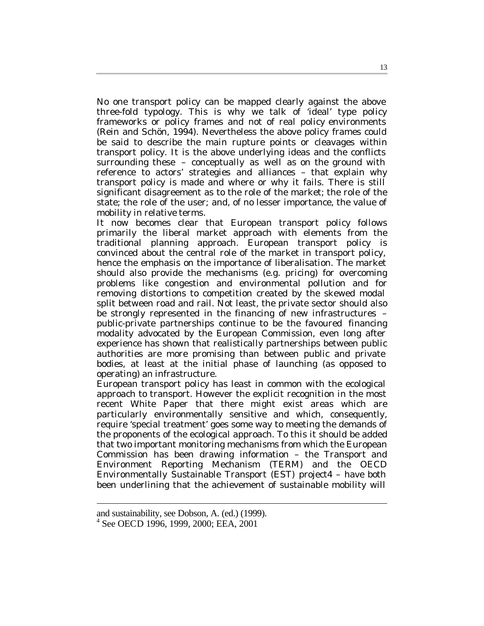No one transport policy can be mapped clearly against the above three-fold typology. This is why we talk of 'ideal' type policy frameworks or policy frames and not of real policy environments (Rein and Schön, 1994). Nevertheless the above policy frames could be said to describe the main rupture points or cleavages within transport policy. It is the above underlying ideas and the conflicts surrounding these - conceptually as well as on the ground with reference to actors' strategies and alliances – that explain why transport policy is made and where or why it fails. There is still significant disagreement as to the role of the market; the role of the state; the role of the user; and, of no lesser importance, the value of mobility in relative terms.

It now becomes clear that European transport policy follows primarily the liberal market approach with elements from the traditional planning approach. European transport policy is convinced about the central role of the market in transport policy, hence the emphasis on the importance of liberalisation. The market should also provide the mechanisms (e.g. pricing) for overcoming problems like congestion and environmental pollution and for removing distortions to competition created by the skewed modal split between road and rail. Not least, the private sector should also be strongly represented in the financing of new infrastructures – public-private partnerships continue to be the favoured financing modality advocated by the European Commission, even long after experience has shown that realistically partnerships between public authorities are more promising than between public and private bodies, at least at the initial phase of launching (as opposed to operating) an infrastructure.

European transport policy has least in common with the ecological approach to transport. However the explicit recognition in the most recent White Paper that there might exist areas which are particularly environmentally sensitive and which, consequently, require 'special treatment' goes some way to meeting the demands of the proponents of the ecological approach. To this it should be added that two important monitoring mechanisms from which the European Commission has been drawing information – the Transport and Environment Reporting Mechanism (TERM) and the OECD Environmentally Sustainable Transport (EST) project4 – have both been underlining that the achievement of sustainable mobility will

i

and sustainability, see Dobson, A. (ed.) (1999).

<sup>4</sup> See OECD 1996, 1999, 2000; EEA, 2001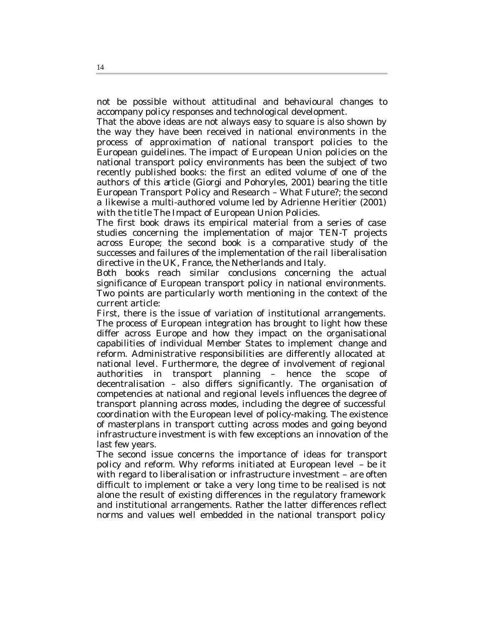not be possible without attitudinal and behavioural changes to accompany policy responses and technological development.

That the above ideas are not always easy to square is also shown by the way they have been received in national environments in the process of approximation of national transport policies to the European guidelines. The impact of European Union policies on the national transport policy environments has been the subject of two recently published books: the first an edited volume of one of the authors of this article (Giorgi and Pohoryles, 2001) bearing the title European Transport Policy and Research – What Future?; the second a likewise a multi-authored volume led by Adrienne Heritier (2001) with the title The Impact of European Union Policies.

The first book draws its empirical material from a series of case studies concerning the implementation of major TEN-T projects across Europe; the second book is a comparative study of the successes and failures of the implementation of the rail liberalisation directive in the UK, France, the Netherlands and Italy.

Both books reach similar conclusions concerning the actual significance of European transport policy in national environments. Two points are particularly worth mentioning in the context of the current article:

First, there is the issue of variation of institutional arrangements. The process of European integration has brought to light how these differ across Europe and how they impact on the organisational capabilities of individual Member States to implement change and reform. Administrative responsibilities are differently allocated at national level. Furthermore, the degree of involvement of regional authorities in transport planning – hence the scope of decentralisation – also differs significantly. The organisation of competencies at national and regional levels influences the degree of transport planning across modes, including the degree of successful coordination with the European level of policy-making. The existence of masterplans in transport cutting across modes and going beyond infrastructure investment is with few exceptions an innovation of the last few years.

The second issue concerns the importance of ideas for transport policy and reform. Why reforms initiated at European level – be it with regard to liberalisation or infrastructure investment – are often difficult to implement or take a very long time to be realised is not alone the result of existing differences in the regulatory framework and institutional arrangements. Rather the latter differences reflect norms and values well embedded in the national transport policy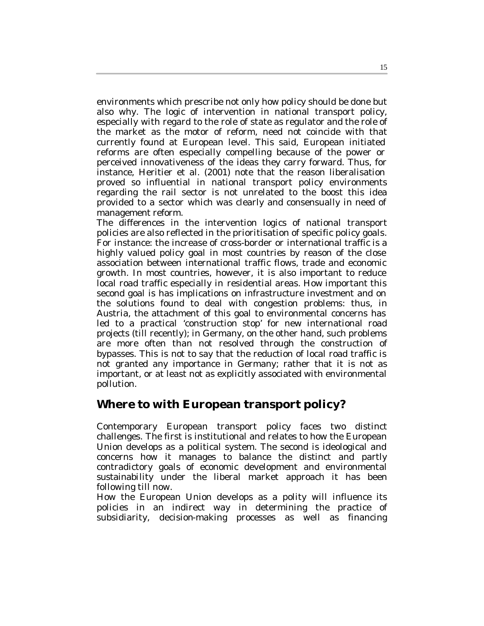environments which prescribe not only how policy should be done but also why. The logic of intervention in national transport policy, especially with regard to the role of state as regulator and the role of the market as the motor of reform, need not coincide with that currently found at European level. This said, European initiated reforms are often especially compelling because of the power or perceived innovativeness of the ideas they carry forward. Thus, for instance, Heritier et al. (2001) note that the reason liberalisation proved so influential in national transport policy environments regarding the rail sector is not unrelated to the boost this idea provided to a sector which was clearly and consensually in need of management reform.

The differences in the intervention logics of national transport policies are also reflected in the prioritisation of specific policy goals. For instance: the increase of cross-border or international traffic is a highly valued policy goal in most countries by reason of the close association between international traffic flows, trade and economic growth. In most countries, however, it is also important to reduce local road traffic especially in residential areas. How important this second goal is has implications on infrastructure investment and on the solutions found to deal with congestion problems: thus, in Austria, the attachment of this goal to environmental concerns has led to a practical 'construction stop' for new international road projects (till recently); in Germany, on the other hand, such problems are more often than not resolved through the construction of bypasses. This is not to say that the reduction of local road traffic is not granted any importance in Germany; rather that it is not as important, or at least not as explicitly associated with environmental pollution.

## **Where to with European transport policy?**

Contemporary European transport policy faces two distinct challenges. The first is institutional and relates to how the European Union develops as a political system. The second is ideological and concerns how it manages to balance the distinct and partly contradictory goals of economic development and environmental sustainability under the liberal market approach it has been following till now.

How the European Union develops as a polity will influence its policies in an indirect way in determining the practice of subsidiarity, decision-making processes as well as financing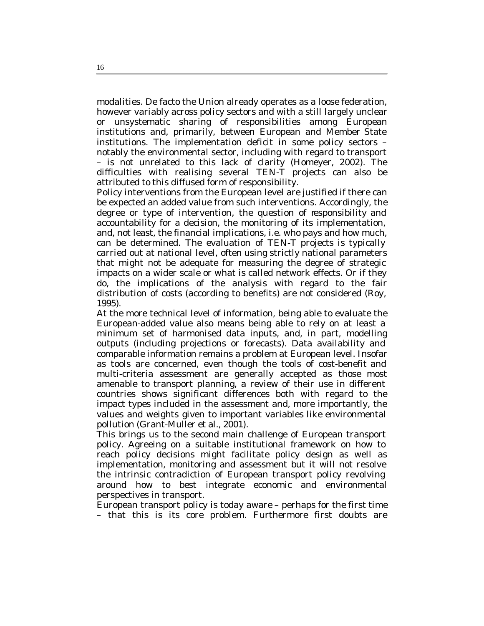modalities. De facto the Union already operates as a loose federation, however variably across policy sectors and with a still largely unclear or unsystematic sharing of responsibilities among European institutions and, primarily, between European and Member State institutions. The implementation deficit in some policy sectors – notably the environmental sector, including with regard to transport – is not unrelated to this lack of clarity (Homeyer, 2002). The difficulties with realising several TEN-T projects can also be attributed to this diffused form of responsibility.

Policy interventions from the European level are justified if there can be expected an added value from such interventions. Accordingly, the degree or type of intervention, the question of responsibility and accountability for a decision, the monitoring of its implementation, and, not least, the financial implications, i.e. who pays and how much, can be determined. The evaluation of TEN-T projects is typically carried out at national level, often using strictly national parameters that might not be adequate for measuring the degree of strategic impacts on a wider scale or what is called network effects. Or if they do, the implications of the analysis with regard to the fair distribution of costs (according to benefits) are not considered (Roy, 1995).

At the more technical level of information, being able to evaluate the European-added value also means being able to rely on at least a minimum set of harmonised data inputs, and, in part, modelling outputs (including projections or forecasts). Data availability and comparable information remains a problem at European level. Insofar as tools are concerned, even though the tools of cost-benefit and multi-criteria assessment are generally accepted as those most amenable to transport planning, a review of their use in different countries shows significant differences both with regard to the impact types included in the assessment and, more importantly, the values and weights given to important variables like environmental pollution (Grant-Muller et al., 2001).

This brings us to the second main challenge of European transport policy. Agreeing on a suitable institutional framework on how to reach policy decisions might facilitate policy design as well as implementation, monitoring and assessment but it will not resolve the intrinsic contradiction of European transport policy revolving around how to best integrate economic and environmental perspectives in transport.

European transport policy is today aware – perhaps for the first time – that this is its core problem. Furthermore first doubts are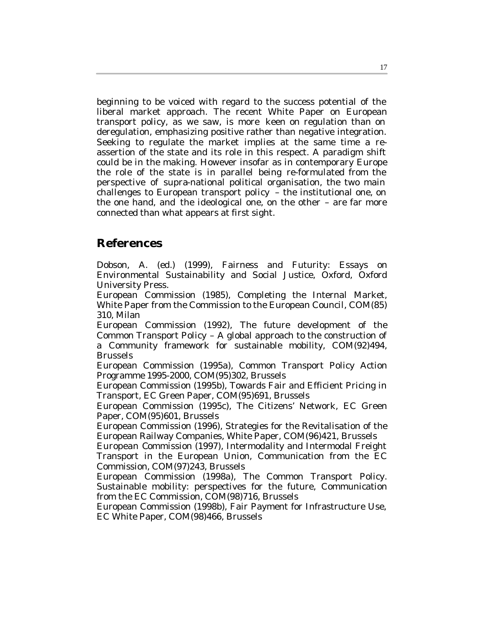beginning to be voiced with regard to the success potential of the liberal market approach. The recent White Paper on European transport policy, as we saw, is more keen on regulation than on deregulation, emphasizing positive rather than negative integration. Seeking to regulate the market implies at the same time a reassertion of the state and its role in this respect. A paradigm shift could be in the making. However insofar as in contemporary Europe the role of the state is in parallel being re-formulated from the perspective of supra-national political organisation, the two main challenges to European transport policy – the institutional one, on the one hand, and the ideological one, on the other – are far more connected than what appears at first sight.

### **References**

Dobson, A. (ed.) (1999), Fairness and Futurity: Essays on Environmental Sustainability and Social Justice, Oxford, Oxford University Press.

European Commission (1985), Completing the Internal Market, White Paper from the Commission to the European Council, COM(85) 310, Milan

European Commission (1992), The future development of the Common Transport Policy – A global approach to the construction of a Community framework for sustainable mobility, COM(92)494, Brussels

European Commission (1995a), Common Transport Policy Action Programme 1995-2000, COM(95)302, Brussels

European Commission (1995b), Towards Fair and Efficient Pricing in Transport, EC Green Paper, COM(95)691, Brussels

European Commission (1995c), The Citizens' Network, EC Green Paper, COM(95)601, Brussels

European Commission (1996), Strategies for the Revitalisation of the European Railway Companies, White Paper, COM(96)421, Brussels

European Commission (1997), Intermodality and Intermodal Freight Transport in the European Union, Communication from the EC Commission, COM(97)243, Brussels

European Commission (1998a), The Common Transport Policy. Sustainable mobility: perspectives for the future, Communication from the EC Commission, COM(98)716, Brussels

European Commission (1998b), Fair Payment for Infrastructure Use, EC White Paper, COM(98)466, Brussels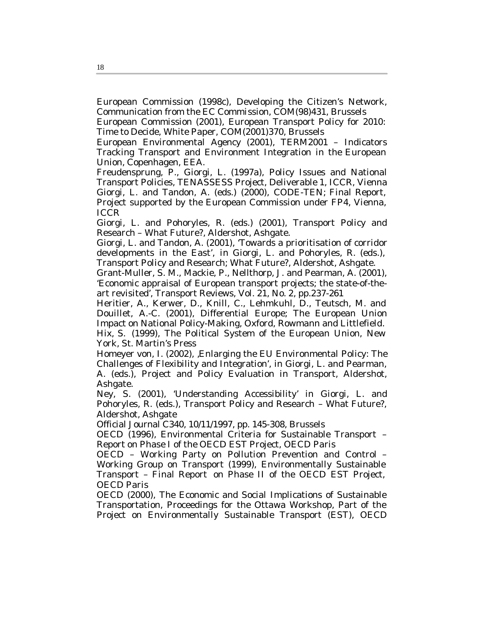European Commission (1998c), Developing the Citizen's Network, Communication from the EC Commission, COM(98)431, Brussels

European Commission (2001), European Transport Policy for 2010: Time to Decide, White Paper, COM(2001)370, Brussels

European Environmental Agency (2001), TERM2001 – Indicators Tracking Transport and Environment Integration in the European Union, Copenhagen, EEA.

Freudensprung, P., Giorgi, L. (1997a), Policy Issues and National Transport Policies, TENASSESS Project, Deliverable 1, ICCR, Vienna Giorgi, L. and Tandon, A. (eds.) (2000), CODE-TEN; Final Report, Project supported by the European Commission under FP4, Vienna, ICCR

Giorgi, L. and Pohoryles, R. (eds.) (2001), Transport Policy and Research – What Future?, Aldershot, Ashgate.

Giorgi, L. and Tandon, A. (2001), 'Towards a prioritisation of corridor developments in the East', in Giorgi, L. and Pohoryles, R. (eds.), Transport Policy and Research; What Future?, Aldershot, Ashgate.

Grant-Muller, S. M., Mackie, P., Nellthorp, J. and Pearman, A. (2001), 'Economic appraisal of European transport projects; the state-of-theart revisited', Transport Reviews, Vol. 21, No. 2, pp.237-261

Heritier, A., Kerwer, D., Knill, C., Lehmkuhl, D., Teutsch, M. and Douillet, A.-C. (2001), Differential Europe; The European Union Impact on National Policy-Making, Oxford, Rowmann and Littlefield. Hix, S. (1999), The Political System of the European Union, New York, St. Martin's Press

Homeyer von, I. (2002), Enlarging the EU Environmental Policy: The Challenges of Flexibility and Integration', in Giorgi, L. and Pearman, A. (eds.), Project and Policy Evaluation in Transport, Aldershot, Ashgate.

Ney, S. (2001), 'Understanding Accessibility' in Giorgi, L. and Pohoryles, R. (eds.), Transport Policy and Research – What Future?, Aldershot, Ashgate

Official Journal C340, 10/11/1997, pp. 145-308, Brussels

OECD (1996), Environmental Criteria for Sustainable Transport – Report on Phase I of the OECD EST Project, OECD Paris

OECD – Working Party on Pollution Prevention and Control – Working Group on Transport (1999), Environmentally Sustainable Transport – Final Report on Phase II of the OECD EST Project, OECD Paris

OECD (2000), The Economic and Social Implications of Sustainable Transportation, Proceedings for the Ottawa Workshop, Part of the Project on Environmentally Sustainable Transport (EST), OECD